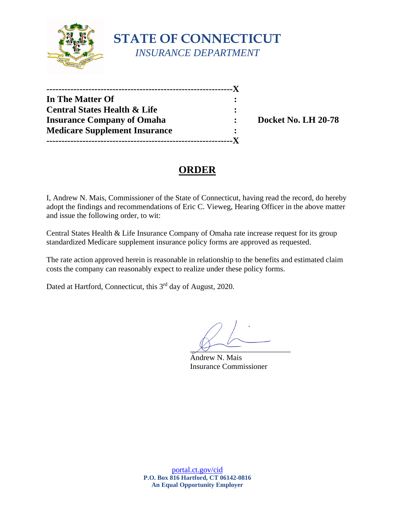

| -----------------                       |   |
|-----------------------------------------|---|
| In The Matter Of                        |   |
| <b>Central States Health &amp; Life</b> | : |
| <b>Insurance Company of Omaha</b>       |   |
| <b>Medicare Supplement Insurance</b>    |   |
|                                         |   |

**Insurance Company of Omaha : Docket No. LH 20-78** 

# **ORDER**

I, Andrew N. Mais, Commissioner of the State of Connecticut, having read the record, do hereby adopt the findings and recommendations of Eric C. Vieweg, Hearing Officer in the above matter and issue the following order, to wit:

Central States Health & Life Insurance Company of Omaha rate increase request for its group standardized Medicare supplement insurance policy forms are approved as requested.

The rate action approved herein is reasonable in relationship to the benefits and estimated claim costs the company can reasonably expect to realize under these policy forms.

Dated at Hartford, Connecticut, this 3<sup>rd</sup> day of August, 2020.

 $\chi_f$  -

Andrew N. Mais Insurance Commissioner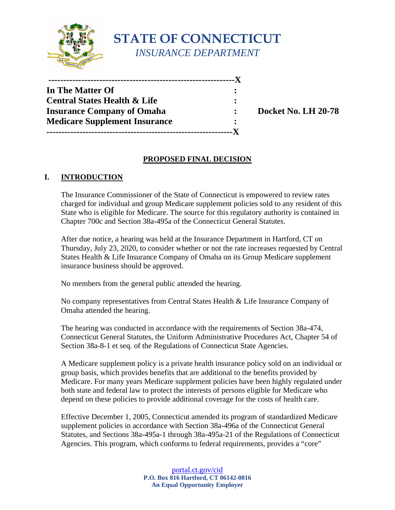

**STATE OF CONNECTICUT** *INSURANCE DEPARTMENT*

| ------------------------------------    |           |  |
|-----------------------------------------|-----------|--|
| In The Matter Of                        |           |  |
| <b>Central States Health &amp; Life</b> | ٠         |  |
| <b>Insurance Company of Omaha</b>       | $\bullet$ |  |
| <b>Medicare Supplement Insurance</b>    |           |  |
| ---------------------------------       |           |  |

**Insurance Company of Omaha : Docket No. LH 20-78** 

## **PROPOSED FINAL DECISION**

### **I. INTRODUCTION**

The Insurance Commissioner of the State of Connecticut is empowered to review rates charged for individual and group Medicare supplement policies sold to any resident of this State who is eligible for Medicare. The source for this regulatory authority is contained in Chapter 700c and Section 38a-495a of the Connecticut General Statutes.

After due notice, a hearing was held at the Insurance Department in Hartford, CT on Thursday, July 23, 2020, to consider whether or not the rate increases requested by Central States Health & Life Insurance Company of Omaha on its Group Medicare supplement insurance business should be approved.

No members from the general public attended the hearing.

No company representatives from Central States Health & Life Insurance Company of Omaha attended the hearing.

The hearing was conducted in accordance with the requirements of Section 38a-474, Connecticut General Statutes, the Uniform Administrative Procedures Act, Chapter 54 of Section 38a-8-1 et seq. of the Regulations of Connecticut State Agencies.

A Medicare supplement policy is a private health insurance policy sold on an individual or group basis, which provides benefits that are additional to the benefits provided by Medicare. For many years Medicare supplement policies have been highly regulated under both state and federal law to protect the interests of persons eligible for Medicare who depend on these policies to provide additional coverage for the costs of health care.

Effective December 1, 2005, Connecticut amended its program of standardized Medicare supplement policies in accordance with Section 38a-496a of the Connecticut General Statutes, and Sections 38a-495a-1 through 38a-495a-21 of the Regulations of Connecticut Agencies. This program, which conforms to federal requirements, provides a "core"

> [portal.ct.gov/cid](https://portal.ct.gov/cid) **P.O. Box 816 Hartford, CT 06142-0816 An Equal Opportunity Employer**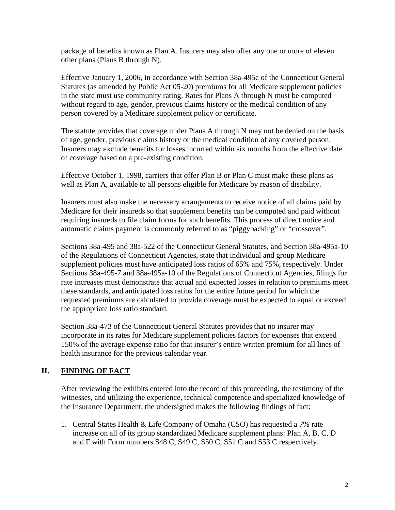package of benefits known as Plan A. Insurers may also offer any one or more of eleven other plans (Plans B through N).

Effective January 1, 2006, in accordance with Section 38a-495c of the Connecticut General Statutes (as amended by Public Act 05-20) premiums for all Medicare supplement policies in the state must use community rating. Rates for Plans A through N must be computed without regard to age, gender, previous claims history or the medical condition of any person covered by a Medicare supplement policy or certificate.

The statute provides that coverage under Plans A through N may not be denied on the basis of age, gender, previous claims history or the medical condition of any covered person. Insurers may exclude benefits for losses incurred within six months from the effective date of coverage based on a pre-existing condition.

Effective October 1, 1998, carriers that offer Plan B or Plan C must make these plans as well as Plan A, available to all persons eligible for Medicare by reason of disability.

Insurers must also make the necessary arrangements to receive notice of all claims paid by Medicare for their insureds so that supplement benefits can be computed and paid without requiring insureds to file claim forms for such benefits. This process of direct notice and automatic claims payment is commonly referred to as "piggybacking" or "crossover".

Sections 38a-495 and 38a-522 of the Connecticut General Statutes, and Section 38a-495a-10 of the Regulations of Connecticut Agencies, state that individual and group Medicare supplement policies must have anticipated loss ratios of 65% and 75%, respectively. Under Sections 38a-495-7 and 38a-495a-10 of the Regulations of Connecticut Agencies, filings for rate increases must demonstrate that actual and expected losses in relation to premiums meet these standards, and anticipated loss ratios for the entire future period for which the requested premiums are calculated to provide coverage must be expected to equal or exceed the appropriate loss ratio standard.

Section 38a-473 of the Connecticut General Statutes provides that no insurer may incorporate in its rates for Medicare supplement policies factors for expenses that exceed 150% of the average expense ratio for that insurer's entire written premium for all lines of health insurance for the previous calendar year.

## **II. FINDING OF FACT**

After reviewing the exhibits entered into the record of this proceeding, the testimony of the witnesses, and utilizing the experience, technical competence and specialized knowledge of the Insurance Department, the undersigned makes the following findings of fact:

1. Central States Health & Life Company of Omaha (CSO) has requested a 7% rate increase on all of its group standardized Medicare supplement plans: Plan A, B, C, D and F with Form numbers S48 C, S49 C, S50 C, S51 C and S53 C respectively.